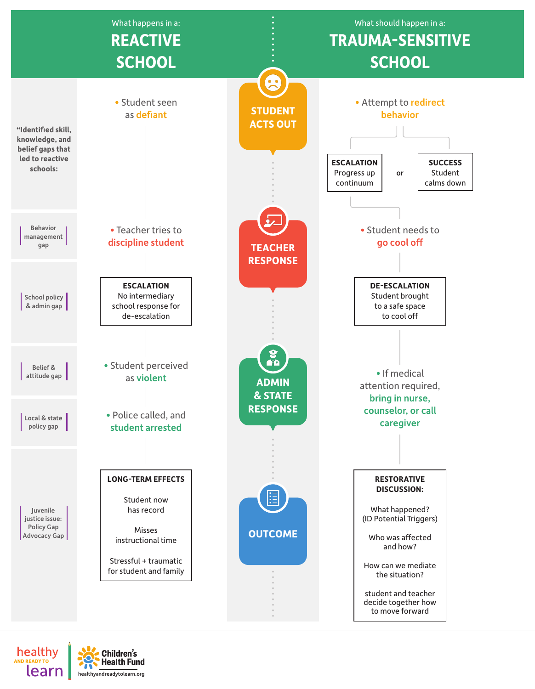